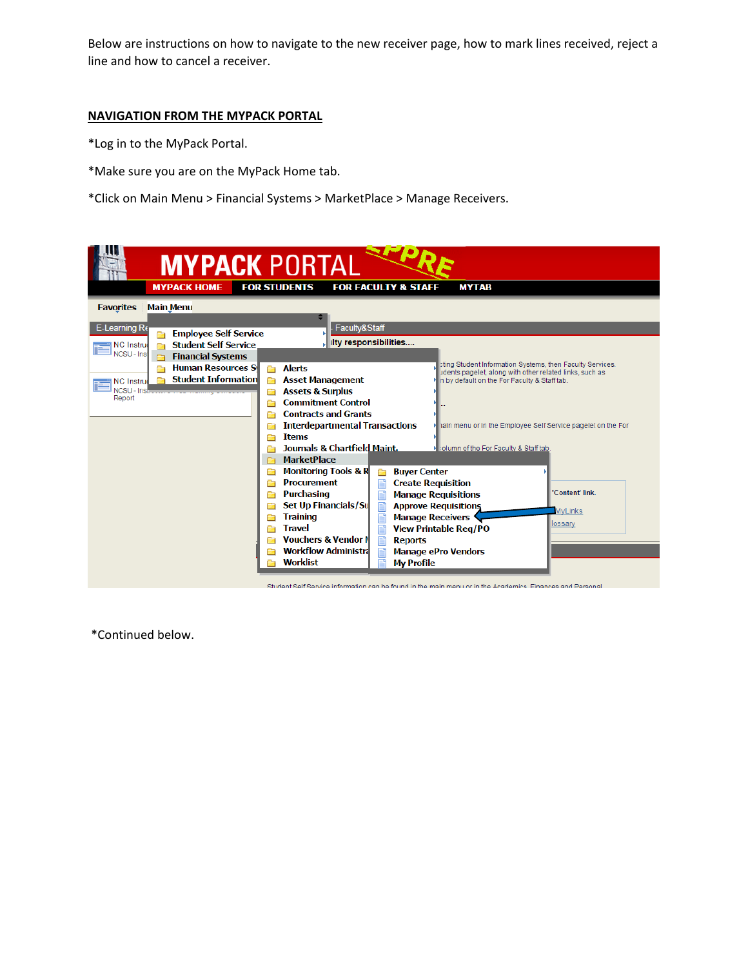Below are instructions on how to navigate to the new receiver page, how to mark lines received, reject a line and how to cancel a receiver.

# **NAVIGATION FROM THE MYPACK PORTAL**

\*Log in to the MyPack Portal.

- \*Make sure you are on the MyPack Home tab.
- \*Click on Main Menu > Financial Systems > MarketPlace > Manage Receivers.

| <b>MYPACK PORTAL</b>                               |                                                                                                                                             |
|----------------------------------------------------|---------------------------------------------------------------------------------------------------------------------------------------------|
|                                                    |                                                                                                                                             |
| <b>MYPACK HOME</b>                                 | <b>FOR STUDENTS</b><br><b>FOR FACULTY &amp; STAFF</b><br><b>MYTAB</b>                                                                       |
| <b>Main Menu</b><br><b>Favorites</b>               |                                                                                                                                             |
|                                                    |                                                                                                                                             |
| E-Learning Re<br><b>Employee Self Service</b>      | Faculty&Staff                                                                                                                               |
| <b>Student Self Service</b><br>■ NC Instru<br>a    | ilty responsibilities                                                                                                                       |
| NCSU - Inst<br><b>Financial Systems</b>            |                                                                                                                                             |
| <b>Human Resources S</b><br>Ē                      | sting Student Information Systems, then Faculty Services.<br><b>Alerts</b><br>C)<br>udents pagelet, along with other related links, such as |
| <b>Student Information</b><br><b>El NC Instrud</b> | <b>Asset Management</b><br>n<br>n by default on the For Faculty & Staff tab.                                                                |
| Report                                             | <b>Assets &amp; Surplus</b><br>Ō<br><b>Commitment Control</b>                                                                               |
|                                                    | <b>Contracts and Grants</b>                                                                                                                 |
|                                                    | <b>Interdepartmental Transactions</b><br>hain menu or in the Employee Self Service pagelet on the For                                       |
|                                                    | <b>Items</b>                                                                                                                                |
|                                                    | <b>Journals &amp; Chartfield Maint.</b><br>> :olumn of the For Faculty & Staff tab.                                                         |
|                                                    | <b>MarketPlace</b>                                                                                                                          |
|                                                    | <b>Monitoring Tools &amp; R</b><br><b>Buyer Center</b><br>a                                                                                 |
|                                                    | <b>Procurement</b><br><b>Create Requisition</b>                                                                                             |
|                                                    | 'Content' link.<br><b>Purchasing</b><br><b>Manage Requisitions</b>                                                                          |
|                                                    | Set Up Financials/Su<br><b>Approve Requisitions</b><br><b>MyLinks</b>                                                                       |
|                                                    | <b>Training</b><br><b>Manage Receivers</b><br>lossary<br><b>Travel</b>                                                                      |
|                                                    | <b>View Printable Reg/PO</b><br>n<br><b>Vouchers &amp; Vendor N</b><br>P<br><b>Reports</b>                                                  |
|                                                    | <b>Workflow Administra</b><br><b>Manage ePro Vendors</b>                                                                                    |
|                                                    | <b>Worklist</b><br><b>My Profile</b>                                                                                                        |
|                                                    |                                                                                                                                             |

Student Self Service information can be found in the main menu or in the Academics. Finances and Personal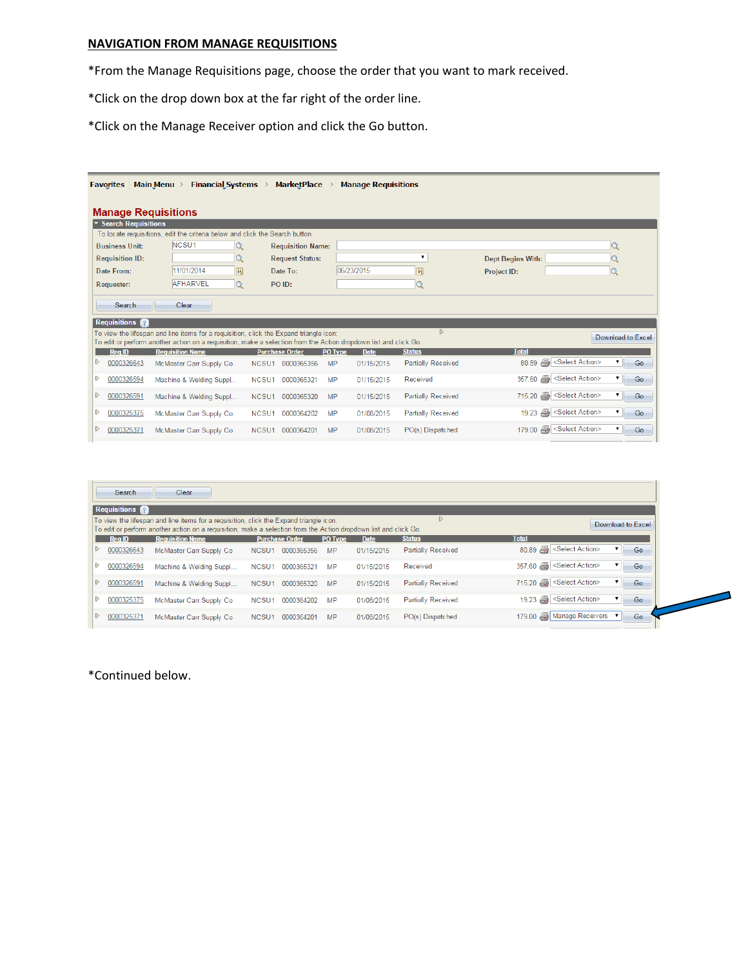# **NAVIGATION FROM MANAGE REQUISITIONS**

\*From the Manage Requisitions page, choose the order that you want to mark received.

\*Click on the drop down box at the far right of the order line.

\*Click on the Manage Receiver option and click the Go button.

| <b>Favorites</b>              | <b>Financial Systems</b><br><b>Main Menu</b>                                                                                                                                                                        | <b>MarketPlace</b>              | <b>Manage Requisitions</b> |                           |                       |                   |
|-------------------------------|---------------------------------------------------------------------------------------------------------------------------------------------------------------------------------------------------------------------|---------------------------------|----------------------------|---------------------------|-----------------------|-------------------|
| <b>Manage Requisitions</b>    |                                                                                                                                                                                                                     |                                 |                            |                           |                       |                   |
| ▼ Search Requisitions         |                                                                                                                                                                                                                     |                                 |                            |                           |                       |                   |
|                               | To locate requisitions, edit the criteria below and click the Search button.                                                                                                                                        |                                 |                            |                           |                       |                   |
| <b>Business Unit:</b>         | NCSU <sub>1</sub>                                                                                                                                                                                                   | <b>Requisition Name:</b>        |                            |                           |                       |                   |
| <b>Requisition ID:</b>        |                                                                                                                                                                                                                     | <b>Request Status:</b>          |                            | 7                         | Dept Begins With:     |                   |
| Date From:                    | 11/01/2014<br>E                                                                                                                                                                                                     | Date To:                        | 06/23/2015                 | BU                        | Project ID:           |                   |
| Requester:                    | <b>AFHARVEL</b><br>$\mathsf Q$                                                                                                                                                                                      | PO ID:                          |                            | $\mathsf Q$               |                       |                   |
| Search<br><b>Requisitions</b> | Clear<br>To view the lifespan and line items for a requisition, click the Expand triangle icon:<br>To edit or perform another action on a requisition, make a selection from the Action dropdown list and click Go. |                                 |                            | $\triangleright$          |                       | Download to Excel |
| <b>RealD</b>                  | <b>Requisition Name</b>                                                                                                                                                                                             | <b>Purchase Order</b>           | <b>PO Type</b><br>Date     | <b>Status</b>             | <b>Total</b>          |                   |
| D<br>0000326643               | McMaster Carr Supply Co                                                                                                                                                                                             | 0000365356<br>NCSU <sub>1</sub> | <b>MP</b><br>01/15/2015    | <b>Partially Received</b> | 80.89 Select Action>  | ۷<br>Go           |
| D<br>0000326594               | Machine & Welding Suppl                                                                                                                                                                                             | 0000365321<br>NCSU1             | MP<br>01/15/2015           | Received                  | 357.60 Select Action> | Go                |
| D<br>0000326591               | Machine & Welding Suppl                                                                                                                                                                                             | NCSU <sub>1</sub><br>0000365320 | <b>MP</b><br>01/15/2015    | Partially Received        | 715.20 Select Action> | ۷.<br>Go          |
| D<br>0000325375               | McMaster Carr Supply Co                                                                                                                                                                                             | 0000364202<br>NCSU1             | MP<br>01/08/2015           | Partially Received        | 19.23 Select Action>  | Go                |
| D<br>0000325371               | McMaster Carr Supply Co                                                                                                                                                                                             | NCSU <sub>1</sub><br>0000364201 | <b>MP</b><br>01/08/2015    | PO(s) Dispatched          | 179.00 Select Action> | Go                |

| Search              | Clear                   |                                                                                                                                                                                                            |             |                           |                                                       |
|---------------------|-------------------------|------------------------------------------------------------------------------------------------------------------------------------------------------------------------------------------------------------|-------------|---------------------------|-------------------------------------------------------|
| <b>Requisitions</b> |                         |                                                                                                                                                                                                            |             |                           |                                                       |
|                     |                         | To view the lifespan and line items for a requisition, click the Expand triangle icon:<br>To edit or perform another action on a requisition, make a selection from the Action dropdown list and click Go. |             |                           | Download to Excel                                     |
| <b>Reg ID</b>       | <b>Requisition Name</b> | <b>Purchase Order</b><br>PO Type                                                                                                                                                                           | <b>Date</b> | <b>Status</b>             | <b>Total</b>                                          |
| 0000326643          | McMaster Carr Supply Co | 0000365356<br>MP<br>NCSU <sub>1</sub>                                                                                                                                                                      | 01/15/2015  | <b>Partially Received</b> | 80.89 <select action=""><br/>Go</select>              |
| 0000326594          | Machine & Welding Suppl | 0000365321<br>МP<br>NCSU <sub>1</sub>                                                                                                                                                                      | 01/15/2015  | Received                  | 357.60 Select Action><br>Go                           |
| 0000326591          | Machine & Welding Suppl | 0000365320<br>NCSU <sub>1</sub><br>MP                                                                                                                                                                      | 01/15/2015  | <b>Partially Received</b> | 715.20 Select Action><br>$\blacksquare$<br>Go         |
| 0000325375          | McMaster Carr Supply Co | 0000364202<br>MP<br>NCSU1                                                                                                                                                                                  | 01/08/2015  | <b>Partially Received</b> | 19.23 Select Action><br>$\overline{\mathbf{v}}$<br>Go |
| 0000325371          | McMaster Carr Supply Co | MP<br>NCSU <sub>1</sub><br>0000364201                                                                                                                                                                      | 01/08/2015  | PO(s) Dispatched          | 179.00 Manage Receivers v<br>Go                       |
|                     |                         |                                                                                                                                                                                                            |             |                           |                                                       |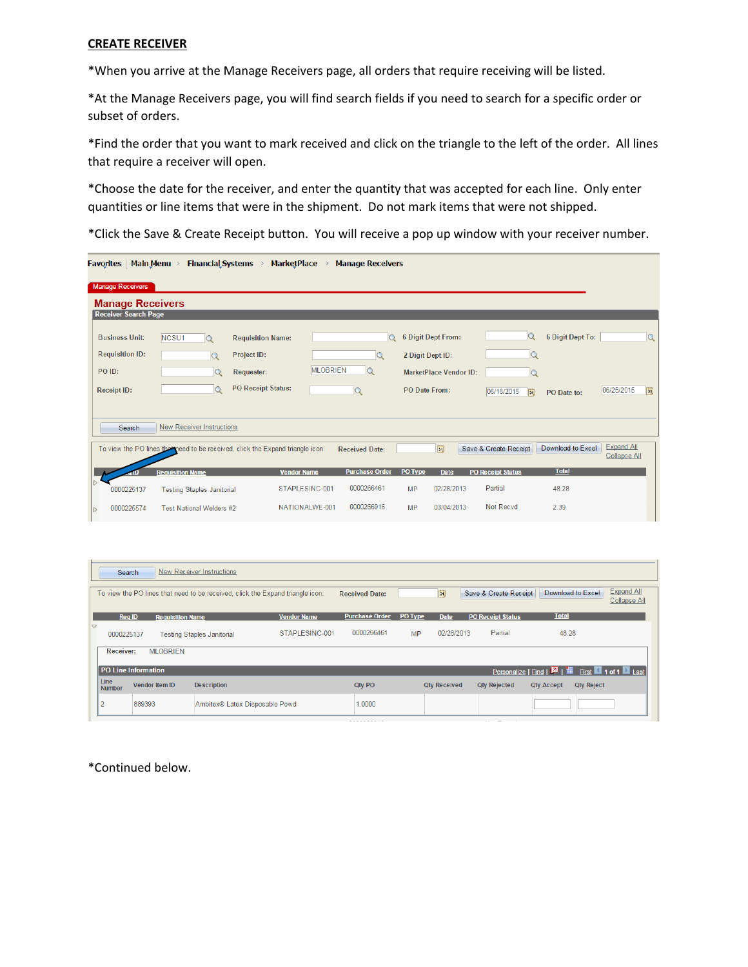### **CREATE RECEIVER**

\*When you arrive at the Manage Receivers page, all orders that require receiving will be listed.

\*At the Manage Receivers page, you will find search fields if you need to search for a specific order or subset of orders.

\*Find the order that you want to mark received and click on the triangle to the left of the order. All lines that require a receiver will open.

\*Choose the date for the receiver, and enter the quantity that was accepted for each line. Only enter quantities or line items that were in the shipment. Do not mark items that were not shipped.

\*Click the Save & Create Receipt button. You will receive a pop up window with your receiver number.

|   | <b>Favorites</b> Main Menu >                           | <b>Financial Systems</b>          | <b>MarketPlace</b>                                                            |                 | <b>Manage Receivers</b> |                           |                               |                          |                   |                                   |
|---|--------------------------------------------------------|-----------------------------------|-------------------------------------------------------------------------------|-----------------|-------------------------|---------------------------|-------------------------------|--------------------------|-------------------|-----------------------------------|
|   | <b>Manage Receivers</b>                                |                                   |                                                                               |                 |                         |                           |                               |                          |                   |                                   |
|   | <b>Manage Receivers</b><br><b>Receiver Search Page</b> |                                   |                                                                               |                 |                         |                           |                               |                          |                   |                                   |
|   | <b>Business Unit:</b>                                  | NCSU1<br>$\alpha$                 | <b>Requisition Name:</b>                                                      |                 | $\Omega$                | <b>6 Digit Dept From:</b> |                               | $\Omega$                 | 6 Digit Dept To:  | Q                                 |
|   | <b>Requisition ID:</b><br>PO ID:                       | $\alpha$<br>Q                     | Project ID:<br><b>Requester:</b><br><b>PO Receipt Status:</b>                 | <b>MLOBRIEN</b> | $\alpha$<br>$\alpha$    | 2 Digit Dept ID:          | <b>MarketPlace Vendor ID:</b> | $\mathsf Q$<br>$\alpha$  |                   |                                   |
|   | <b>Receipt ID:</b>                                     | Q                                 |                                                                               |                 |                         | PO Date From:             |                               | 06/18/2015<br>51         | PO Date to:       | 06/25/2015<br>FÜ                  |
|   | Search                                                 | <b>New Receiver Instructions</b>  |                                                                               |                 |                         |                           |                               |                          |                   |                                   |
|   |                                                        |                                   | To view the PO lines the meed to be received, click the Expand triangle icon: |                 | <b>Received Date:</b>   |                           | 間                             | Save & Create Receipt    | Download to Excel | <b>Expand All</b><br>Collapse All |
|   |                                                        | <b>Requisition Name</b>           | <b>Vendor Name</b>                                                            |                 | <b>Purchase Order</b>   | PO Type                   | <b>Date</b>                   | <b>PO Receipt Status</b> | <b>Total</b>      |                                   |
|   | 0000225137                                             | <b>Testing Staples Janitorial</b> | STAPLESINC-001                                                                |                 | 0000266461              | MP                        | 02/28/2013                    | Partial                  | 48.28             |                                   |
| D | 0000225574                                             | Test National Welders #2          | NATIONALWE-001                                                                |                 | 0000266916              | <b>MP</b>                 | 03/04/2013                    | Not Recyd                | 2.39              |                                   |

| Search                |                         | <b>New Receiver Instructions</b>                                               |                    |                       |           |                     |                          |                                                               |                   |                                          |
|-----------------------|-------------------------|--------------------------------------------------------------------------------|--------------------|-----------------------|-----------|---------------------|--------------------------|---------------------------------------------------------------|-------------------|------------------------------------------|
|                       |                         | To view the PO lines that need to be received, click the Expand triangle icon: |                    | <b>Received Date:</b> |           | Ħ                   | Save & Create Receipt    |                                                               | Download to Excel | <b>Expand All</b><br><b>Collapse All</b> |
| <b>Reg ID</b>         | <b>Requisition Name</b> |                                                                                | <b>Vendor Name</b> | <b>Purchase Order</b> | PO Type   | <b>Date</b>         | <b>PO Receipt Status</b> | <b>Total</b>                                                  |                   |                                          |
| 0<br>0000225137       |                         | <b>Testing Staples Janitorial</b>                                              | STAPLESINC-001     | 0000266461            | <b>MP</b> | 02/28/2013          | Partial                  | 48.28                                                         |                   |                                          |
| Receiver:             | <b>MLOBRIEN</b>         |                                                                                |                    |                       |           |                     |                          |                                                               |                   |                                          |
|                       | PO Line Information     |                                                                                |                    |                       |           |                     |                          | Personalize   Find   <b>D</b>   <b>II</b> First 1 of 1   Last |                   |                                          |
| Line<br><b>Number</b> | <b>Vendor Item ID</b>   | <b>Description</b>                                                             |                    | Qtv PO                |           | <b>Qtv Received</b> | <b>Qtv Rejected</b>      | <b>Qtv Accept</b>                                             | <b>Qty Reject</b> |                                          |
| $\overline{2}$        | 889393                  | Ambitex® Latex Disposable Powd                                                 |                    | 1.0000                |           |                     |                          |                                                               |                   |                                          |
|                       |                         |                                                                                |                    | ---------             |           |                     | $\cdots$                 |                                                               |                   |                                          |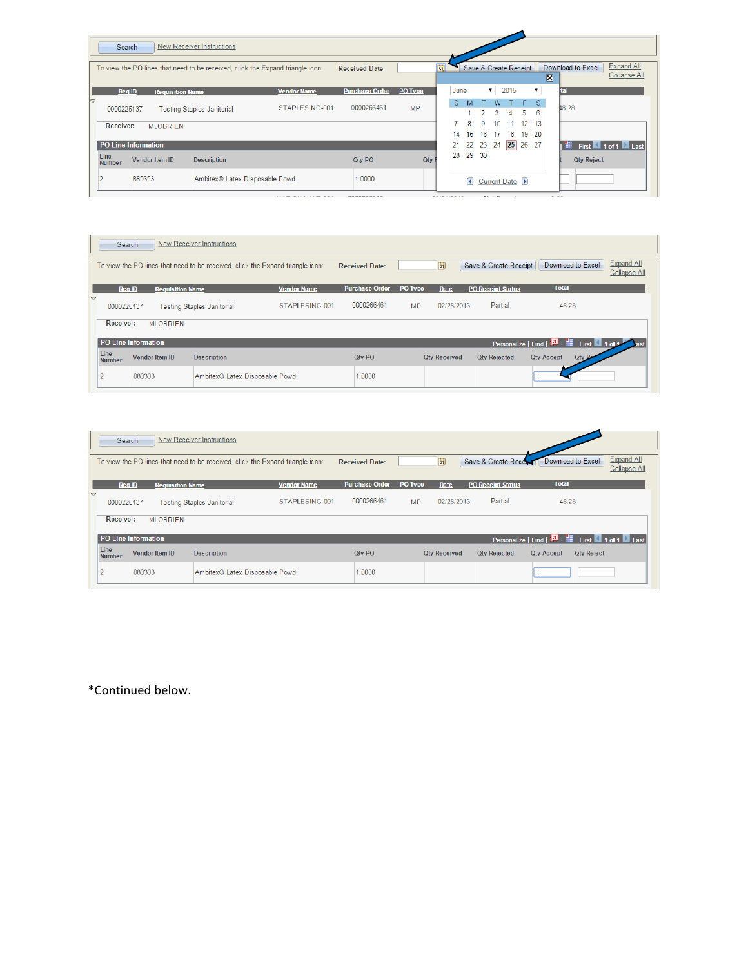|                       | Search              |                         | New Receiver Instructions                                                      |                    |                       |           |   |      |         |         |          |                       |                        |   |     |                                                |                                   |  |
|-----------------------|---------------------|-------------------------|--------------------------------------------------------------------------------|--------------------|-----------------------|-----------|---|------|---------|---------|----------|-----------------------|------------------------|---|-----|------------------------------------------------|-----------------------------------|--|
|                       |                     |                         | To view the PO lines that need to be received, click the Expand triangle icon: |                    | <b>Received Date:</b> |           | Ħ |      |         |         |          | Save & Create Receipt |                        |   | 図   | Download to Excel                              | Expand All<br><b>Collapse All</b> |  |
|                       | <b>Req ID</b>       | <b>Requisition Name</b> |                                                                                | <b>Vendor Name</b> | <b>Purchase Order</b> | PO Type   |   | June |         | ▼       |          | 2015                  |                        | ▼ | tal |                                                |                                   |  |
|                       | 0000225137          |                         | <b>Testing Staples Janitorial</b>                                              | STAPLESINC-001     | 0000266461            | <b>MP</b> |   | s    |         |         | W<br>3   | 4                     | $F-S$<br>5.            | 6 |     | 48.28                                          |                                   |  |
|                       | Receiver:           | <b>MLOBRIEN</b>         |                                                                                |                    |                       |           |   | 14   | 8<br>15 | 9<br>16 | 10<br>17 | 11<br>18              | $12 \quad 13$<br>19 20 |   |     |                                                |                                   |  |
|                       | PO Line Information |                         |                                                                                |                    |                       |           |   | 21   | 22      | 23 24   |          | 25                    | 26 27                  |   |     | <b>III</b> First <b>1</b> 1 of 1 <b>2</b> Last |                                   |  |
| Line<br><b>Number</b> |                     | <b>Vendor Item ID</b>   | <b>Description</b>                                                             |                    | <b>Qtv PO</b>         | Qtv       |   | 28   | 29 30   |         |          |                       |                        |   |     | <b>Qty Reject</b>                              |                                   |  |
|                       |                     | 889393                  | Ambitex® Latex Disposable Powd                                                 |                    | 1.0000                |           |   |      | G       |         |          | Current Date (b)      |                        |   |     |                                                |                                   |  |

|                 | Search                |                         | New Receiver Instructions         |                                                                                |                       |           |                     |                          |                                                           |                                          |
|-----------------|-----------------------|-------------------------|-----------------------------------|--------------------------------------------------------------------------------|-----------------------|-----------|---------------------|--------------------------|-----------------------------------------------------------|------------------------------------------|
|                 |                       |                         |                                   | To view the PO lines that need to be received, click the Expand triangle icon: | <b>Received Date:</b> |           | 間                   | Save & Create Receipt    | Download to Excel                                         | <b>Expand All</b><br><b>Collapse All</b> |
|                 | <b>Req ID</b>         | <b>Requisition Name</b> |                                   | <b>Vendor Name</b>                                                             | <b>Purchase Order</b> | PO Type   | <b>Date</b>         | <b>PO Receipt Status</b> | <b>Total</b>                                              |                                          |
| $\triangledown$ | 0000225137            |                         | <b>Testing Staples Janitorial</b> | STAPLESINC-001                                                                 | 0000266461            | <b>MP</b> | 02/28/2013          | Partial                  | 48.28                                                     |                                          |
|                 | <b>Receiver:</b>      | <b>MLOBRIEN</b>         |                                   |                                                                                |                       |           |                     |                          |                                                           |                                          |
|                 |                       | PO Line Information     |                                   |                                                                                |                       |           |                     |                          | Personalize   Find   <b>D</b>   ill First <b>1</b> 1 of 1 | <b>Past</b>                              |
|                 | Line<br><b>Number</b> | <b>Vendor Item ID</b>   | <b>Description</b>                |                                                                                | <b>Qty PO</b>         |           | <b>Qtv Received</b> | <b>Qty Rejected</b>      | <b>Qty Rei</b><br><b>Qty Accept</b>                       |                                          |
|                 | z                     | 889393                  | Ambitex® Latex Disposable Powd    |                                                                                | 1.0000                |           |                     |                          |                                                           |                                          |

|                 | Search                |                         | New Receiver Instructions         |                                                                                |                       |         |                     |                          |                                                                    |                                   |
|-----------------|-----------------------|-------------------------|-----------------------------------|--------------------------------------------------------------------------------|-----------------------|---------|---------------------|--------------------------|--------------------------------------------------------------------|-----------------------------------|
|                 |                       |                         |                                   | To view the PO lines that need to be received, click the Expand triangle icon: | <b>Received Date:</b> |         | 間                   |                          | Save & Create Recerci Download to Excel                            | <b>Expand All</b><br>Collapse All |
|                 | <b>Reg ID</b>         | <b>Requisition Name</b> |                                   | <b>Vendor Name</b>                                                             | <b>Purchase Order</b> | PO Type | <b>Date</b>         | <b>PO Receipt Status</b> | <b>Total</b>                                                       |                                   |
| $\triangledown$ | 0000225137            |                         | <b>Testing Staples Janitorial</b> | STAPLESINC-001                                                                 | 0000266461            | MP      | 02/28/2013          | Partial                  | 48.28                                                              |                                   |
|                 | Receiver:             | <b>MLOBRIEN</b>         |                                   |                                                                                |                       |         |                     |                          |                                                                    |                                   |
|                 | PO Line Information   |                         |                                   |                                                                                |                       |         |                     |                          | Personalize   Find   <b>EL</b>   <b>EL   First   1 of 1   Last</b> |                                   |
|                 | Line<br><b>Number</b> | <b>Vendor Item ID</b>   | <b>Description</b>                |                                                                                | Qty PO                |         | <b>Qty Received</b> | <b>Qty Rejected</b>      | <b>Qty Reject</b><br><b>Qty Accept</b>                             |                                   |
|                 | $\overline{2}$        | 889393                  | Ambitex® Latex Disposable Powd    |                                                                                | 1.0000                |         |                     |                          |                                                                    |                                   |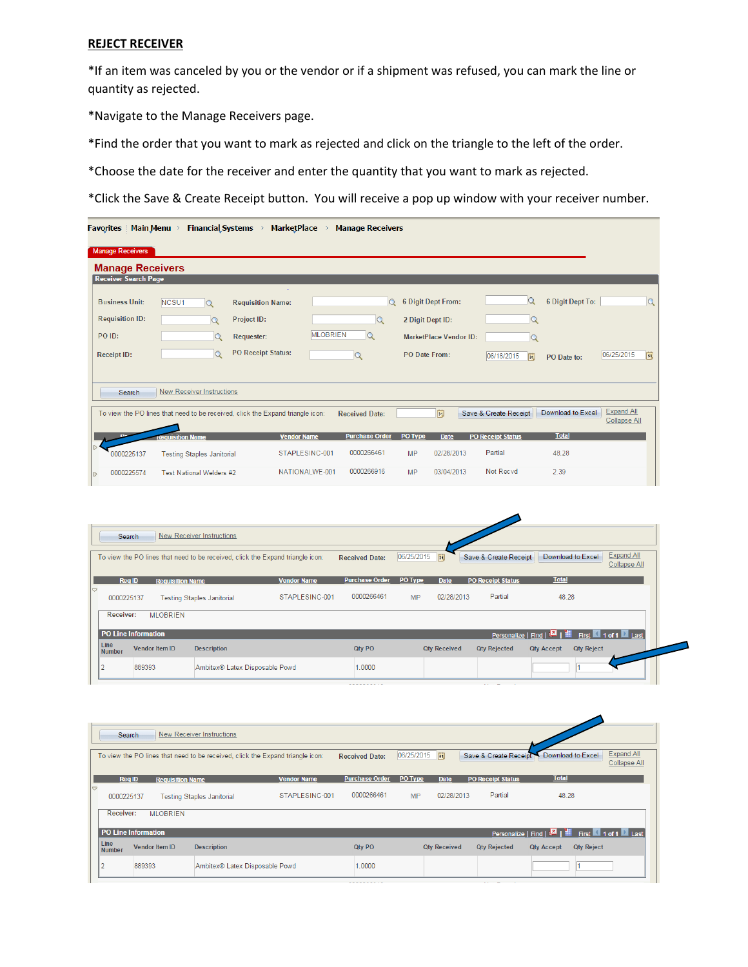#### **REJECT RECEIVER**

\*If an item was canceled by you or the vendor or if a shipment was refused, you can mark the line or quantity as rejected.

\*Navigate to the Manage Receivers page.

\*Find the order that you want to mark as rejected and click on the triangle to the left of the order.

\*Choose the date for the receiver and enter the quantity that you want to mark as rejected.

\*Click the Save & Create Receipt button. You will receive a pop up window with your receiver number.

| <b>Favorites</b> Main Menu >                           |                                   |          | <b>Financial Systems</b>                                                       | <b>MarketPlace</b> | <b>Manage Receivers</b>     |               |                               |                            |                   |                                   |              |
|--------------------------------------------------------|-----------------------------------|----------|--------------------------------------------------------------------------------|--------------------|-----------------------------|---------------|-------------------------------|----------------------------|-------------------|-----------------------------------|--------------|
| <b>Manage Receivers</b>                                |                                   |          |                                                                                |                    |                             |               |                               |                            |                   |                                   |              |
| <b>Manage Receivers</b><br><b>Receiver Search Page</b> |                                   |          |                                                                                |                    |                             |               |                               |                            |                   |                                   |              |
|                                                        |                                   |          |                                                                                |                    |                             |               |                               |                            |                   |                                   |              |
| <b>Business Unit:</b>                                  | NCSU1                             | $\alpha$ | <b>Requisition Name:</b>                                                       |                    |                             | Q             | 6 Digit Dept From:            | $\Omega$                   | 6 Digit Dept To:  |                                   | $\mathsf{Q}$ |
| <b>Requisition ID:</b>                                 |                                   | $\alpha$ | Project ID:                                                                    |                    | Q                           |               | 2 Digit Dept ID:              | $\alpha$                   |                   |                                   |              |
| PO ID:                                                 |                                   | $\circ$  | <b>Requester:</b>                                                              |                    | <b>MLOBRIEN</b><br>$\Omega$ |               | <b>MarketPlace Vendor ID:</b> | Q                          |                   |                                   |              |
| <b>Receipt ID:</b>                                     |                                   | $\alpha$ | <b>PO Receipt Status:</b>                                                      |                    | Q                           | PO Date From: |                               | 06/18/2015<br>$\boxed{31}$ | PO Date to:       | 06/25/2015                        | 31           |
|                                                        |                                   |          |                                                                                |                    |                             |               |                               |                            |                   |                                   |              |
| Search                                                 | <b>New Receiver Instructions</b>  |          |                                                                                |                    |                             |               |                               |                            |                   |                                   |              |
|                                                        |                                   |          | To view the PO lines that need to be received, click the Expand triangle icon: |                    | <b>Received Date:</b>       |               | 間                             | Save & Create Receipt      | Download to Excel | <b>Expand All</b><br>Collapse All |              |
|                                                        | <b>Requisition Name</b>           |          |                                                                                | <b>Vendor Name</b> | <b>Purchase Order</b>       | PO Type       | <b>Date</b>                   | <b>PO Receipt Status</b>   | <b>Total</b>      |                                   |              |
| 0000225137                                             | <b>Testing Staples Janitorial</b> |          |                                                                                | STAPLESINC-001     | 0000266461                  | <b>MP</b>     | 02/28/2013                    | Partial                    | 48.28             |                                   |              |
| 0000225574<br>$\triangleright$                         | Test National Welders #2          |          |                                                                                | NATIONALWE-001     | 0000266916                  | <b>MP</b>     | 03/04/2013                    | Not Recyd                  | 2.39              |                                   |              |

|                 | Search                |                         | New Receiver Instructions         |                                                                                |                       |                |                     |                          |                   |                                          |
|-----------------|-----------------------|-------------------------|-----------------------------------|--------------------------------------------------------------------------------|-----------------------|----------------|---------------------|--------------------------|-------------------|------------------------------------------|
|                 |                       |                         |                                   | To view the PO lines that need to be received, click the Expand triangle icon: | <b>Received Date:</b> | 06/25/2015   前 |                     | Save & Create Receipt    | Download to Excel | <b>Expand All</b><br><b>Collapse All</b> |
|                 | <b>Req ID</b>         | <b>Requisition Name</b> |                                   | <b>Vendor Name</b>                                                             | <b>Purchase Order</b> | PO Type        | <b>Date</b>         | <b>PO Receipt Status</b> | <b>Total</b>      |                                          |
| $\triangledown$ | 0000225137            |                         | <b>Testing Staples Janitorial</b> | STAPLESINC-001                                                                 | 0000266461            | <b>MP</b>      | 02/28/2013          | Partial                  | 48.28             |                                          |
|                 | <b>Receiver:</b>      | <b>MLOBRIEN</b>         |                                   |                                                                                |                       |                |                     |                          |                   |                                          |
|                 |                       | PO Line Information     |                                   |                                                                                |                       |                |                     |                          |                   |                                          |
|                 | Line<br><b>Number</b> | <b>Vendor Item ID</b>   | <b>Description</b>                |                                                                                | Qty PO                |                | <b>Qty Received</b> | <b>Qty Rejected</b>      | <b>Qty Accept</b> | <b>Qty Reject</b>                        |
|                 |                       | 889393                  | Ambitex® Latex Disposable Powd    |                                                                                | 1.0000                |                |                     |                          |                   |                                          |

|                  | Search                |                         | New Receiver Instructions                                                      |                    |                       |               |                     |                          |                                                                    |                                          |
|------------------|-----------------------|-------------------------|--------------------------------------------------------------------------------|--------------------|-----------------------|---------------|---------------------|--------------------------|--------------------------------------------------------------------|------------------------------------------|
|                  |                       |                         | To view the PO lines that need to be received, click the Expand triangle icon: |                    | <b>Received Date:</b> | 06/25/2015  司 |                     |                          | Save & Create Receipt Download to Excel                            | <b>Expand All</b><br><b>Collapse All</b> |
|                  | <b>Req ID</b>         | <b>Requisition Name</b> |                                                                                | <b>Vendor Name</b> | <b>Purchase Order</b> | PO Type       | <b>Date</b>         | <b>PO Receipt Status</b> | <b>Total</b>                                                       |                                          |
| $\triangleright$ | 0000225137            |                         | <b>Testing Staples Janitorial</b>                                              | STAPLESINC-001     | 0000266461            | <b>MP</b>     | 02/28/2013          | Partial                  | 48.28                                                              |                                          |
|                  | Receiver:             | <b>MLOBRIEN</b>         |                                                                                |                    |                       |               |                     |                          |                                                                    |                                          |
|                  | PO Line Information   |                         |                                                                                |                    |                       |               |                     |                          | Personalize   Find   <b>EL</b>   <b>EL   First   1 of 1   Last</b> |                                          |
|                  | Line<br><b>Number</b> | <b>Vendor Item ID</b>   | <b>Description</b>                                                             |                    | Qty PO                |               | <b>Qty Received</b> | <b>Qty Rejected</b>      | <b>Qty Reject</b><br><b>Qty Accept</b>                             |                                          |
|                  |                       | 889393                  | Ambitex® Latex Disposable Powd                                                 |                    | 1.0000                |               |                     |                          |                                                                    |                                          |